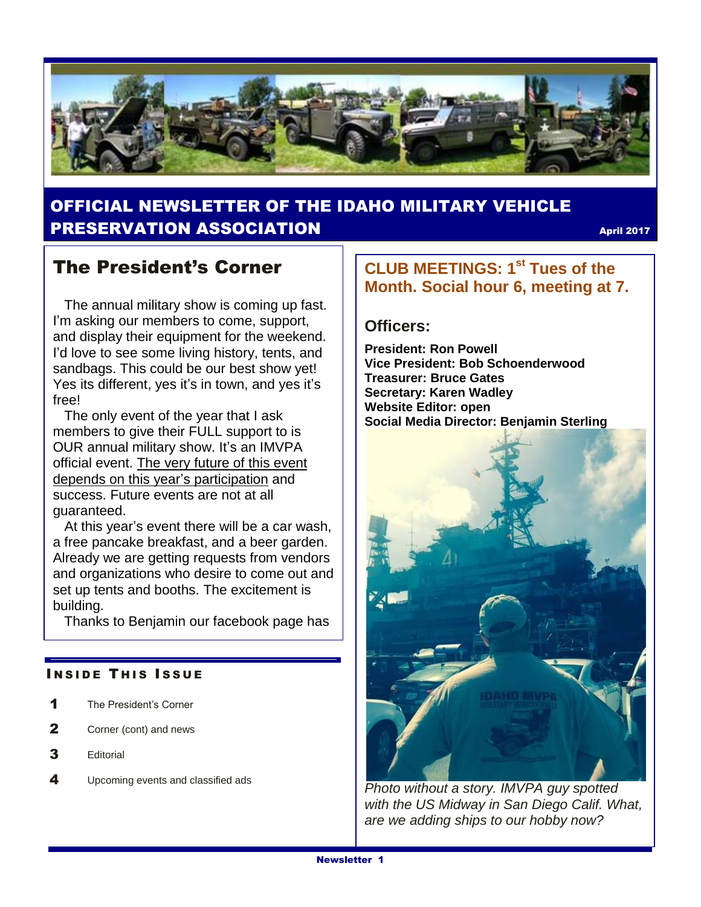

## OFFICIAL NEWSLETTER OF THE IDAHO MILITARY VEHICLE **PRESERVATION ASSOCIATION CONSUMING THE CONSUMING A PRESERVATION**

## The President's Corner

 The annual military show is coming up fast. I'm asking our members to come, support, and display their equipment for the weekend. I'd love to see some living history, tents, and sandbags. This could be our best show yet! Yes its different, yes it's in town, and yes it's free!

 The only event of the year that I ask members to give their FULL support to is OUR annual military show. It's an IMVPA official event. The very future of this event depends on this year's participation and success. Future events are not at all guaranteed.

 At this year's event there will be a car wash, a free pancake breakfast, and a beer garden. Already we are getting requests from vendors and organizations who desire to come out and set up tents and booths. The excitement is building.

Thanks to Benjamin our facebook page has

#### **INSIDE THIS ISSUE**

- 1 The President's Corner
- 2 Corner (cont) and news
- 3 Editorial
- 4 Upcoming events and classified ads

### **CLUB MEETINGS: 1st Tues of the Month. Social hour 6, meeting at 7.**

#### **Officers:**

**President: Ron Powell Vice President: Bob Schoenderwood Treasurer: Bruce Gates Secretary: Karen Wadley Website Editor: open Social Media Director: Benjamin Sterling**



*Photo without a story. IMVPA guy spotted with the US Midway in San Diego Calif. What, are we adding ships to our hobby now?*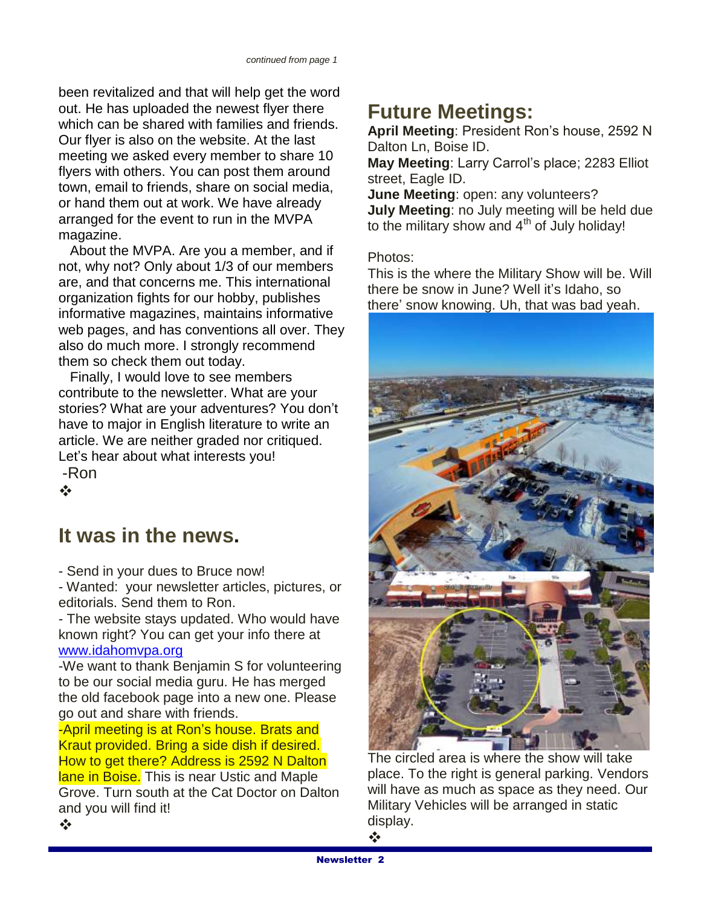been revitalized and that will help get the word out. He has uploaded the newest flyer there which can be shared with families and friends. Our flyer is also on the website. At the last meeting we asked every member to share 10 flyers with others. You can post them around town, email to friends, share on social media, or hand them out at work. We have already arranged for the event to run in the MVPA magazine.

 About the MVPA. Are you a member, and if not, why not? Only about 1/3 of our members are, and that concerns me. This international organization fights for our hobby, publishes informative magazines, maintains informative web pages, and has conventions all over. They also do much more. I strongly recommend them so check them out today.

 Finally, I would love to see members contribute to the newsletter. What are your stories? What are your adventures? You don't have to major in English literature to write an article. We are neither graded nor critiqued. Let's hear about what interests you! -Ron

 $\mathbf{e}^{\mathbf{e}}_{\mathbf{e}}$ 

## **It was in the news.**

- Send in your dues to Bruce now!

- Wanted: your newsletter articles, pictures, or editorials. Send them to Ron.

- The website stays updated. Who would have known right? You can get your info there at [www.idahomvpa.org](http://www.idahomvpa.org/)

-We want to thank Benjamin S for volunteering to be our social media guru. He has merged the old facebook page into a new one. Please go out and share with friends.

-April meeting is at Ron's house. Brats and Kraut provided. Bring a side dish if desired. How to get there? Address is 2592 N Dalton lane in Boise. This is near Ustic and Maple Grove. Turn south at the Cat Doctor on Dalton and you will find it!  $\frac{1}{2}$ 

## **Future Meetings:**

**April Meeting**: President Ron's house, 2592 N Dalton Ln, Boise ID.

**May Meeting**: Larry Carrol's place; 2283 Elliot street, Eagle ID.

**June Meeting**: open: any volunteers? **July Meeting**: no July meeting will be held due to the military show and  $4<sup>th</sup>$  of July holiday!

Photos:

This is the where the Military Show will be. Will there be snow in June? Well it's Idaho, so there' snow knowing. Uh, that was bad yeah.



The circled area is where the show will take place. To the right is general parking. Vendors will have as much as space as they need. Our Military Vehicles will be arranged in static display.

❖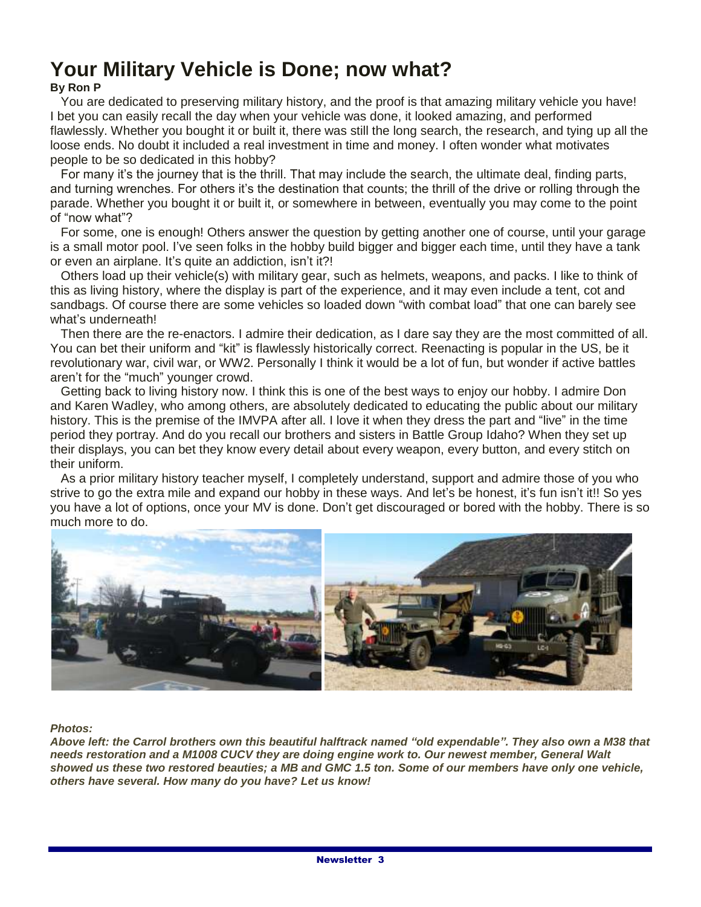# **Your Military Vehicle is Done; now what?**

#### **By Ron P**

 You are dedicated to preserving military history, and the proof is that amazing military vehicle you have! I bet you can easily recall the day when your vehicle was done, it looked amazing, and performed flawlessly. Whether you bought it or built it, there was still the long search, the research, and tying up all the loose ends. No doubt it included a real investment in time and money. I often wonder what motivates people to be so dedicated in this hobby?

 For many it's the journey that is the thrill. That may include the search, the ultimate deal, finding parts, and turning wrenches. For others it's the destination that counts; the thrill of the drive or rolling through the parade. Whether you bought it or built it, or somewhere in between, eventually you may come to the point of "now what"?

 For some, one is enough! Others answer the question by getting another one of course, until your garage is a small motor pool. I've seen folks in the hobby build bigger and bigger each time, until they have a tank or even an airplane. It's quite an addiction, isn't it?!

 Others load up their vehicle(s) with military gear, such as helmets, weapons, and packs. I like to think of this as living history, where the display is part of the experience, and it may even include a tent, cot and sandbags. Of course there are some vehicles so loaded down "with combat load" that one can barely see what's underneath!

 Then there are the re-enactors. I admire their dedication, as I dare say they are the most committed of all. You can bet their uniform and "kit" is flawlessly historically correct. Reenacting is popular in the US, be it revolutionary war, civil war, or WW2. Personally I think it would be a lot of fun, but wonder if active battles aren't for the "much" younger crowd.

 Getting back to living history now. I think this is one of the best ways to enjoy our hobby. I admire Don and Karen Wadley, who among others, are absolutely dedicated to educating the public about our military history. This is the premise of the IMVPA after all. I love it when they dress the part and "live" in the time period they portray. And do you recall our brothers and sisters in Battle Group Idaho? When they set up their displays, you can bet they know every detail about every weapon, every button, and every stitch on their uniform.

 As a prior military history teacher myself, I completely understand, support and admire those of you who strive to go the extra mile and expand our hobby in these ways. And let's be honest, it's fun isn't it!! So yes you have a lot of options, once your MV is done. Don't get discouraged or bored with the hobby. There is so much more to do.



*Photos:*

*Above left: the Carrol brothers own this beautiful halftrack named "old expendable". They also own a M38 that needs restoration and a M1008 CUCV they are doing engine work to. Our newest member, General Walt showed us these two restored beauties; a MB and GMC 1.5 ton. Some of our members have only one vehicle, others have several. How many do you have? Let us know!*